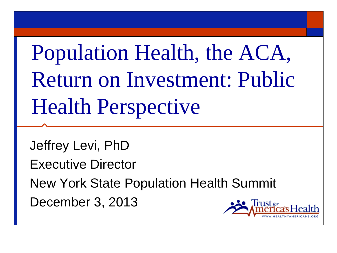Population Health, the ACA, Return on Investment: Public Health Perspective

Jeffrey Levi, PhD Executive Director New York State Population Health Summit December 3, 2013r 1st $f_{\alpha\alpha}$ 

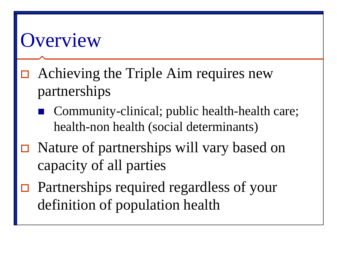#### **Overview**

- Achieving the Triple Aim requires new partnerships
	- Community-clinical; public health-health care; health-non health (social determinants)
- □ Nature of partnerships will vary based on capacity of all parties
- □ Partnerships required regardless of your definition of population health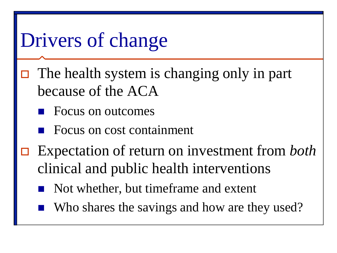#### Drivers of change

- $\Box$  The health system is changing only in part because of the ACA
	- Focus on outcomes
	- Focus on cost containment
- Expectation of return on investment from *both* clinical and public health interventions
	- Not whether, but timeframe and extent
	- Who shares the savings and how are they used?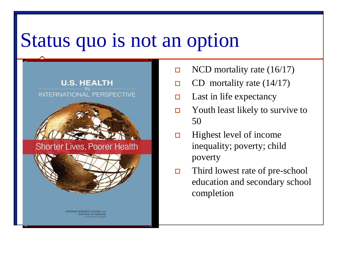#### Status quo is not an option





Shorter Lives, Poorer Health



NATIONAL RESEARCH COUNCIL

- $\Box$  NCD mortality rate (16/17)
- CD mortality rate  $(14/17)$
- $\Box$  Last in life expectancy
- $\Box$  Youth least likely to survive to 50
- $\Box$  Highest level of income inequality; poverty; child poverty
- $\Box$  Third lowest rate of pre-school education and secondary school completion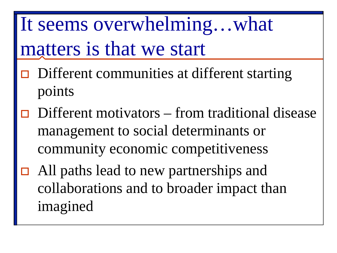It seems overwhelming…what matters is that we start

- $\Box$  Different communities at different starting points
- $\Box$  Different motivators from traditional disease management to social determinants or community economic competitiveness
- All paths lead to new partnerships and collaborations and to broader impact than imagined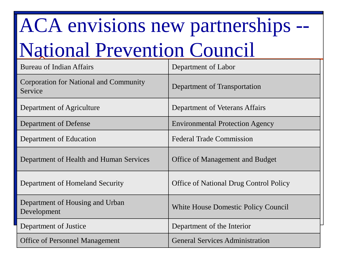# ACA envisions new partnerships -- National Prevention Council

| <b>Bureau of Indian Affairs</b>                   | Department of Labor                           |
|---------------------------------------------------|-----------------------------------------------|
| Corporation for National and Community<br>Service | Department of Transportation                  |
| Department of Agriculture                         | Department of Veterans Affairs                |
| Department of Defense                             | <b>Environmental Protection Agency</b>        |
| Department of Education                           | <b>Federal Trade Commission</b>               |
| Department of Health and Human Services           | <b>Office of Management and Budget</b>        |
| Department of Homeland Security                   | <b>Office of National Drug Control Policy</b> |
| Department of Housing and Urban<br>Development    | White House Domestic Policy Council           |
| Department of Justice                             | Department of the Interior                    |
| <b>Office of Personnel Management</b>             | <b>General Services Administration</b>        |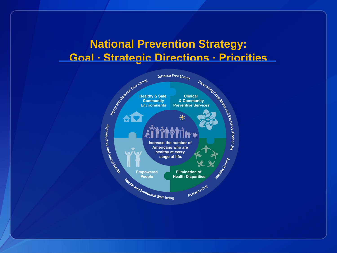#### **National Prevention Strategy: Goal ∙ Strategic Directions ∙ Priorities**

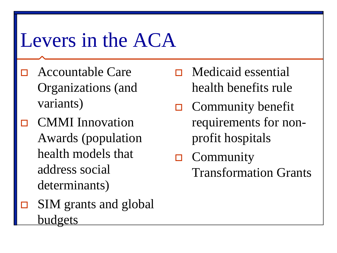#### Levers in the ACA

- **D** Accountable Care Organizations (and variants)
- CMMI Innovation Awards (population health models that address social determinants)
- $\Box$  SIM grants and global budgets
- $\Box$  Medicaid essential health benefits rule
- $\Box$  Community benefit requirements for nonprofit hospitals
- $\Box$  Community Transformation Grants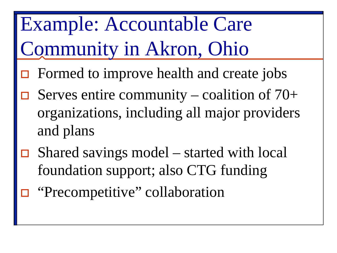Example: Accountable Care Community in Akron, Ohio

- $\Box$  Formed to improve health and create jobs
- Serves entire community coalition of 70+ organizations, including all major providers and plans
- $\Box$  Shared savings model started with local foundation support; also CTG funding
- "Precompetitive" collaboration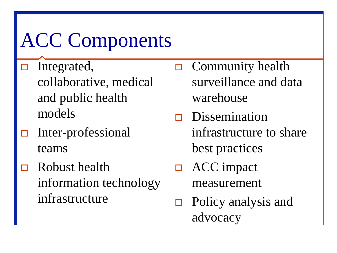## ACC Components

- $\Box$  Integrated, collaborative, medical and public health models
- $\Box$  Inter-professional teams
- $\Box$  Robust health information technology infrastructure
- $\Box$  Community health surveillance and data warehouse
- $\Box$  Dissemination infrastructure to share best practices
- □ ACC impact measurement
- □ Policy analysis and advocacy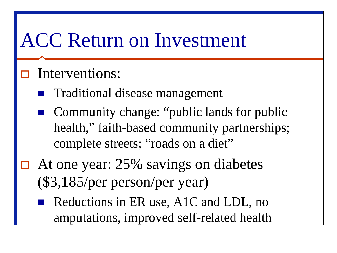#### ACC Return on Investment

#### Interventions:

- Traditional disease management
- Community change: "public lands for public health," faith-based community partnerships; complete streets; "roads on a diet"
- At one year: 25% savings on diabetes (\$3,185/per person/per year)
	- Reductions in ER use, A1C and LDL, no amputations, improved self-related health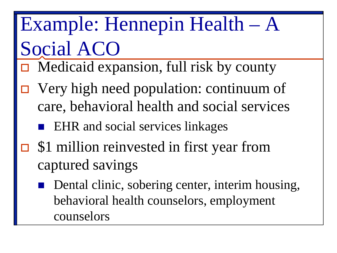## Example: Hennepin Health – A Social ACO

- $\Box$  Medicaid expansion, full risk by county
- Very high need population: continuum of care, behavioral health and social services
	- EHR and social services linkages
- **□** \$1 million reinvested in first year from captured savings
	- Dental clinic, sobering center, interim housing, behavioral health counselors, employment counselors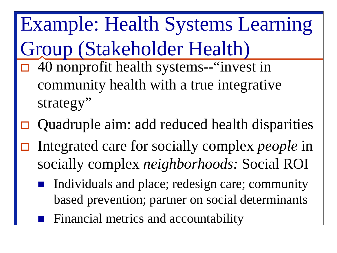Example: Health Systems Learning Group (Stakeholder Health) 40 nonprofit health systems--"invest in community health with a true integrative strategy"

- Quadruple aim: add reduced health disparities
- Integrated care for socially complex *people* in socially complex *neighborhoods:* Social ROI
	- Individuals and place; redesign care; community based prevention; partner on social determinants
		- Financial metrics and accountability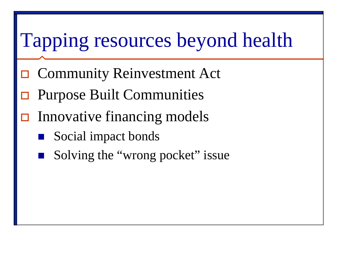## Tapping resources beyond health

- **□ Community Reinvestment Act**
- Purpose Built Communities
- Innovative financing models
	- Social impact bonds
	- Solving the "wrong pocket" issue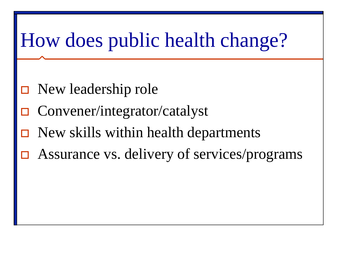### How does public health change?

- □ New leadership role
- Convener/integrator/catalyst
- New skills within health departments
- Assurance vs. delivery of services/programs